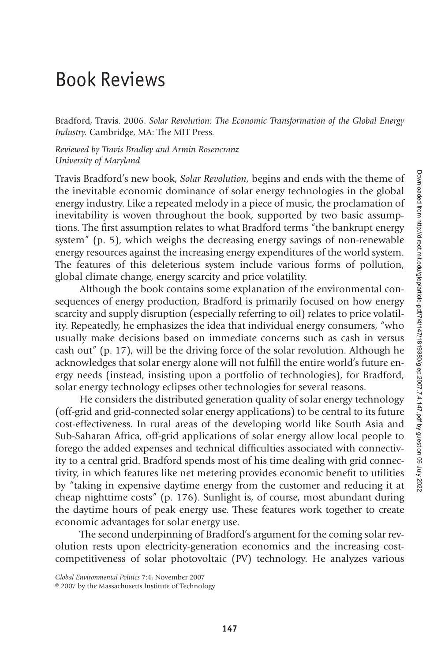## Book Reviews

Bradford, Travis. 2006. *Solar Revolution: The Economic Transformation of the Global Energy Industry.* Cambridge, MA: The MIT Press.

*Reviewed by Travis Bradley and Armin Rosencranz University of Maryland*

Travis Bradford's new book, *Solar Revolution,* begins and ends with the theme of the inevitable economic dominance of solar energy technologies in the global energy industry. Like a repeated melody in a piece of music, the proclamation of inevitability is woven throughout the book, supported by two basic assumptions. The first assumption relates to what Bradford terms "the bankrupt energy system" (p. 5), which weighs the decreasing energy savings of non-renewable energy resources against the increasing energy expenditures of the world system. The features of this deleterious system include various forms of pollution, global climate change, energy scarcity and price volatility.

Although the book contains some explanation of the environmental consequences of energy production, Bradford is primarily focused on how energy scarcity and supply disruption (especially referring to oil) relates to price volatility. Repeatedly, he emphasizes the idea that individual energy consumers, "who usually make decisions based on immediate concerns such as cash in versus cash out" (p. 17), will be the driving force of the solar revolution. Although he acknowledges that solar energy alone will not fulfill the entire world's future energy needs (instead, insisting upon a portfolio of technologies), for Bradford, solar energy technology eclipses other technologies for several reasons.

He considers the distributed generation quality of solar energy technology (off-grid and grid-connected solar energy applications) to be central to its future cost-effectiveness. In rural areas of the developing world like South Asia and Sub-Saharan Africa, off-grid applications of solar energy allow local people to forego the added expenses and technical difficulties associated with connectivity to a central grid. Bradford spends most of his time dealing with grid connectivity, in which features like net metering provides economic benefit to utilities by "taking in expensive daytime energy from the customer and reducing it at cheap nighttime costs" (p. 176). Sunlight is, of course, most abundant during the daytime hours of peak energy use. These features work together to create economic advantages for solar energy use.

The second underpinning of Bradford's argument for the coming solar revolution rests upon electricity-generation economics and the increasing costcompetitiveness of solar photovoltaic (PV) technology. He analyzes various

*Global Environmental Politics* 7:4, November 2007

© 2007 by the Massachusetts Institute of Technology